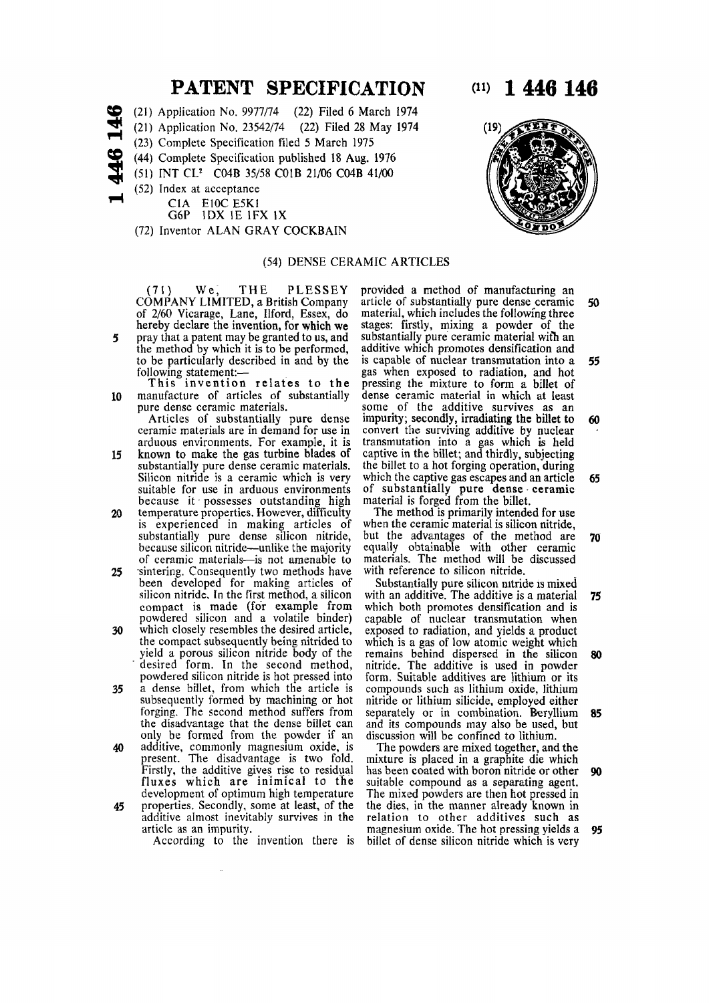# **PATENT SPECIFICATION** (11) 1 446 146

- s e (21) Application No. 9977/74 (22) Filed 6 March 1974
	- (21) Application No. 23542/74 (22) Filed 28 May 1974
- **H**  (23) Complete Specification filed 5 March 1975
- s e (44) Complete Specification published 18 Aug. 1976
	- (51) INT *CV* C04B 35/58 C01B 21/06 C04B 41/00
- **5**  (52) Index at acceptance
	- CIA E10C E5K1
	- G6P 1DX IE 1FX IX
	- (72) Inventor ALAN GRAY COCKBAIN

## (54) DENSE CERAMIC ARTICLES

(71) We, THE PLESSEY COMPANY LIMITED, a British Company of 2/60 Vicarage, Lane, Ilford, Essex, do hereby declare the invention, for which we 5 pray that a patent may be granted to us, and the method by which it is to be performed, to be particularly described in and by the

following statement:— This invention relates to the

10 manufacture of articles of substantially pure dense ceramic materials.

Articles of substantially pure dense ceramic materials are in demand for use in arduous environments. For example, it is

- 15 known to make the gas turbine blades of substantially pure dense ceramic materials. Silicon nitride is a ceramic which is very suitable for use in arduous environments because it possesses outstanding high
- 20 temperature properties. However, difficulty is experienced in making articles of substantially pure dense silicon nitride, because silicon nitride—unlike the majority of ceramic materials—is not amenable to 25 sintering. Consequently two methods have
- been developed for making articles of silicon nitride. In the first method, a silicon compact is made (for example from powdered silicon and a volatile binder) 30 which closely resembles the desired article,
- the compact subsequently being nitrided to yield a porous silicon nitride body of the desired form. In the second method, powdered silicon nitride is hot pressed into
- 35 a dense billet, from which the article is subsequently formed by machining or hot forging. The second method suffers from torging. The second inemiod surfers from only be formed from the gender if an only be formed from the powder if an 40 additive, commonly magnesium oxide, is
- additive, commonly magnesium oxide, is present. The disadvantage is two fold. Firstly, the additive gives rise to residual fluxes which are inimical to the development of optimum high temperature<br>45 properties. Secondly, some at least, of the
- properties. Secondly, some at least, of the additive almost inevitably survives in the article as an impurity.

According to the invention there is

provided a method of manufacturing an article of substantially pure dense ceramic 50 material, which includes the following three stages: firstly, mixing a powder of the substantially pure ceramic material wifh an additive which promotes densification and is capable of nuclear transmutation into a 55 gas when exposed to radiation, and hot pressing the mixture to form a billet of dense ceramic material in which at least some of the additive survives as an impurity; secondly, irradiating the billet to  $60$ convert the surviving additive by nuclear transmutation into a gas which is held captive in the billet; and thirdly, subjecting the billet to a hot forging operation, during which the captive gas escapes and an article  $65$ of substantially pure dense ceramic material is forged from the billet.

The method is primarily intended for use when the ceramic material is silicon nitride, but the advantages of the method are 70 equally obtainable with other ceramic materials. The method will be discussed with reference to silicon nitride.

Substantially pure silicon nitride is mixed with an additive. The additive is a material 75 which both promotes densification and is capable of nuclear transmutation when exposed to radiation, and yields a product which is a gas of low atomic weight which remains behind dispersed in the silicon 80 nitride. The additive is used in powder form. Suitable additives are lithium or its compounds such as lithium oxide, lithium nitride or lithium silicide, employed either separately or in combination. Beryllium 85 and its compounds may also be used, but discussion will be confined to lithium.

The powders are mixed together, and the mixture is placed in a graphite die which has been coated with boron nitride or other 90 suitable compound as a separating agent. The mixed powders are then hot pressed in the dies, in the manner already known in relation to other additives such as magnesium oxide. The hot pressing yields a 95 billet of dense silicon nitride which is very

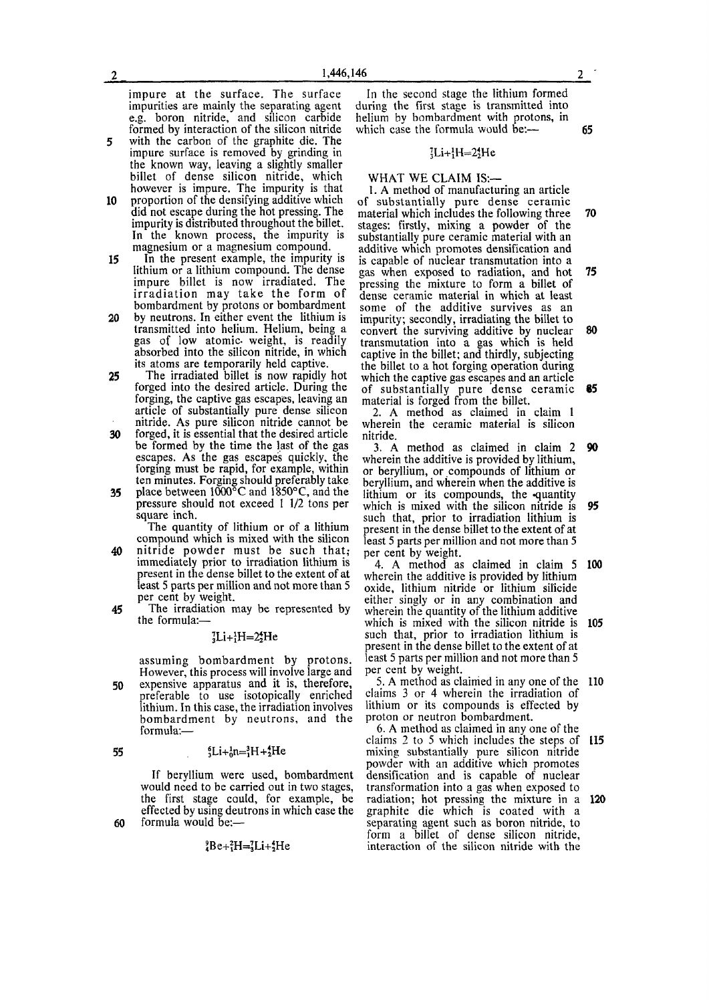impure at the surface. The surface impurities are mainly the separating agent e.g. boron nitride, and silicon carbide formed by interaction of the silicon nitride

- 5 with the carbon of the graphite die. The impure surface is removed by grinding in the known way, leaving a slightly smaller billet of dense silicon nitride, which however is impure. The impurity is that
- 10 proportion of the densifying additive which did not escape during the hot pressing. The impurity is distributed throughout the billet. In the known process, the impurity is magnesium or a magnesium compound.
- 15 In the present example, the impurity is lithium or a lithium compound. The dense impure billet is now irradiated. The irradiation may take the form of bombardment by protons or bombardment
- 20 by neutrons. In either event the lithium is transmitted into helium. Helium, being a gas of low atomic weight, is readily gas of fow atomic weight, is featily its atoms are temporarily held captive.
- Its atoms are temporarily from captive. Forged into the desired article. During the forged mto the desired article. During the article of substantially pure dense silicon nitride. As pure silicon nitride cannot be <sup>30</sup> forged, it is essential that the desired article
- forged, it is essential that the desired article be formed by the time the last of the gas escapes. As the gas escapes quickly, the forging must be rapid, for example, within ten minutes. Forging should preferably take
- prace between 1000  $\degree$  and 1850 $\degree$ C, and the pressure should not exceed 1 1/2 tons per square inch.

The quantity of lithium or of a lithium compound which is mixed with the silicon

- 40 nitride powder must be such that; immediately prior to irradiation lithium is present in the dense billet to the extent of at least 5 parts per million and not more than 5 per cent by weight.
- 45 The irradiation may be represented by the formula:—

### ${}_{3}^{7}Li+{}_{1}^{1}H=2{}_{2}^{4}He$

assuming bombardment by protons. However, this process will involve large and 50 expensive apparatus and it is, therefore, preferable to use isotopically enriched lithium. In this case, the irradiation involves bombardment by neutrons, and the formula:—

#### 55  ${}_{5}^{6}Li + {}_{0}^{1}n = {}_{1}^{3}H + {}_{2}^{4}He$

If beryllium were used, bombardment would need to be carried out in two stages, the first stage could, for example, be effected by using deutrons in which case the 60 formula would be:—

 ${}^{9}_{4}Be+{}^{2}_{3}H= {}^{7}_{3}Li+{}^{4}_{2}He$ 

In the second stage the lithium formed during the first stage is transmitted into helium by bombardment with protons, in which case the formula would be:— 65

### ${}_{3}^{7}Li+{}_{1}^{1}H=2{}_{2}^{4}He$

WHAT WE CLAIM IS:—

1. A method of manufacturing an article of substantially pure dense ceramic material which includes the following three 70 stages: firstly, mixing a powder of the substantially pure ceramic material with an additive which promotes densification and is capable of nuclear transmutation into a gas when exposed to radiation, and hot 75 pressing the mixture to form a billet of dense ceramic material in which at least some of the additive survives as an impurity; secondly, irradiating the billet to convert the surviving additive by nuclear 80 transmutation into a gas which is held captive in the billet; and thirdly, subjecting the billet to a hot forging operation during which the captive gas escapes and an article of substantially pure dense ceramic 85 material is forged from the billet.

2. A method as claimed in claim 1 wherein the ceramic material is silicon nitride.

3. A method as claimed in claim 2 90 wherein the additive is provided by lithium, or beryllium, or compounds of lithium or beryllium, and wherein when the additive is lithium or its compounds, the quantity which is mixed with the silicon nitride is 95 such that, prior to irradiation lithium is present in the dense billet to the extent of at least 5 parts per million and not more than 5 per cent by weight.

4. A method as claimed in claim 5 100 wherein the additive is provided by lithium oxide, lithium nitride or lithium silicide either singly or in any combination and wherein the quantity of the lithium additive which is mixed with the silicon nitride is 105 such that, prior to irradiation lithium is present in the dense billet to the extent of at least 5 parts per million and not more than 5 per cent by weight.

5. A method as claimed in any one of the 110 claims 3 or 4 wherein the irradiation of lithium or its compounds is effected by proton or neutron bombardment.

6. A method as claimed in any one of the claims 2 to 5 which includes the steps of 115 mixing substantially pure silicon nitride powder with an additive which promotes densification and is capable of nuclear transformation into a gas when exposed to radiation; hot pressing the mixture in a 120 graphite die which is coated with a separating agent such as boron nitride, to form a billet of dense silicon nitride, interaction of the silicon nitride with the